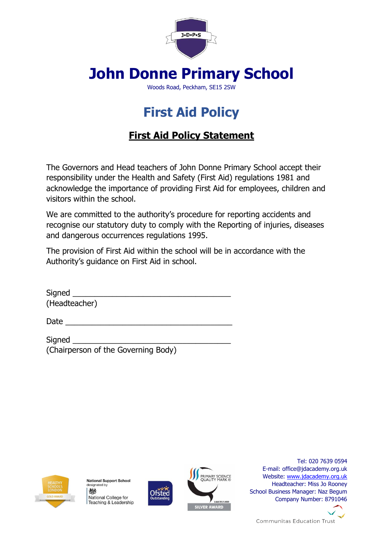

# **John Donne Primary School**

Woods Road, Peckham, SE15 2SW

# **First Aid Policy**

# **First Aid Policy Statement**

The Governors and Head teachers of John Donne Primary School accept their responsibility under the Health and Safety (First Aid) regulations 1981 and acknowledge the importance of providing First Aid for employees, children and visitors within the school.

We are committed to the authority's procedure for reporting accidents and recognise our statutory duty to comply with the Reporting of injuries, diseases and dangerous occurrences regulations 1995.

The provision of First Aid within the school will be in accordance with the Authority's guidance on First Aid in school.

| Signed        |  |  |
|---------------|--|--|
| (Headteacher) |  |  |

 $Date$   $\Box$ 

Signed (Chairperson of the Governing Body)



**National Support School** designated by 機 National College for Teaching & Leadership





Tel: 020 7639 0594 E-mail: office@jdacademy.org.uk Website: [www.jdacademy.org.uk](http://www.jdacademy.org.uk/) Headteacher: Miss Jo Rooney School Business Manager: Naz Begum Company Number: 8791046



**Communitas Education Trust**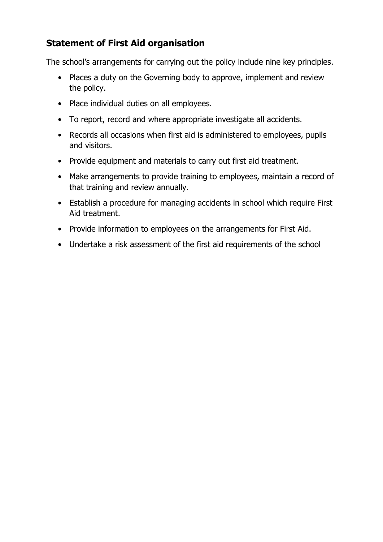## **Statement of First Aid organisation**

The school's arrangements for carrying out the policy include nine key principles.

- Places a duty on the Governing body to approve, implement and review the policy.
- Place individual duties on all employees.
- To report, record and where appropriate investigate all accidents.
- Records all occasions when first aid is administered to employees, pupils and visitors.
- Provide equipment and materials to carry out first aid treatment.
- Make arrangements to provide training to employees, maintain a record of that training and review annually.
- Establish a procedure for managing accidents in school which require First Aid treatment.
- Provide information to employees on the arrangements for First Aid.
- Undertake a risk assessment of the first aid requirements of the school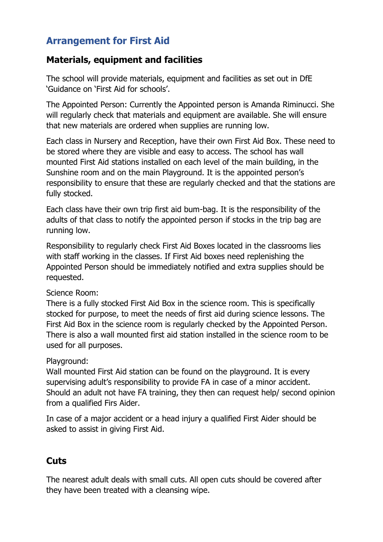## **Arrangement for First Aid**

## **Materials, equipment and facilities**

The school will provide materials, equipment and facilities as set out in DfE 'Guidance on 'First Aid for schools'.

The Appointed Person: Currently the Appointed person is Amanda Riminucci. She will regularly check that materials and equipment are available. She will ensure that new materials are ordered when supplies are running low.

Each class in Nursery and Reception, have their own First Aid Box. These need to be stored where they are visible and easy to access. The school has wall mounted First Aid stations installed on each level of the main building, in the Sunshine room and on the main Playground. It is the appointed person's responsibility to ensure that these are regularly checked and that the stations are fully stocked.

Each class have their own trip first aid bum-bag. It is the responsibility of the adults of that class to notify the appointed person if stocks in the trip bag are running low.

Responsibility to regularly check First Aid Boxes located in the classrooms lies with staff working in the classes. If First Aid boxes need replenishing the Appointed Person should be immediately notified and extra supplies should be requested.

#### Science Room:

There is a fully stocked First Aid Box in the science room. This is specifically stocked for purpose, to meet the needs of first aid during science lessons. The First Aid Box in the science room is regularly checked by the Appointed Person. There is also a wall mounted first aid station installed in the science room to be used for all purposes.

#### Playground:

Wall mounted First Aid station can be found on the playground. It is every supervising adult's responsibility to provide FA in case of a minor accident. Should an adult not have FA training, they then can request help/ second opinion from a qualified Firs Aider.

In case of a major accident or a head injury a qualified First Aider should be asked to assist in giving First Aid.

## **Cuts**

The nearest adult deals with small cuts. All open cuts should be covered after they have been treated with a cleansing wipe.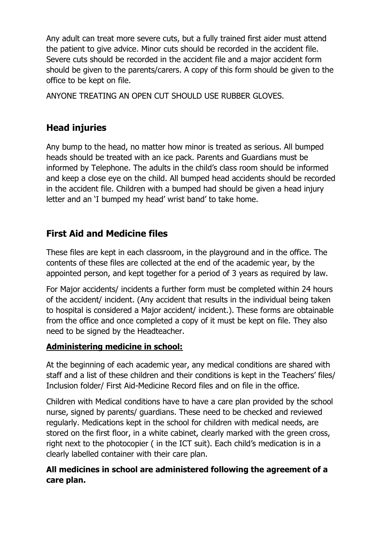Any adult can treat more severe cuts, but a fully trained first aider must attend the patient to give advice. Minor cuts should be recorded in the accident file. Severe cuts should be recorded in the accident file and a major accident form should be given to the parents/carers. A copy of this form should be given to the office to be kept on file.

ANYONE TREATING AN OPEN CUT SHOULD USE RUBBER GLOVES.

## **Head injuries**

Any bump to the head, no matter how minor is treated as serious. All bumped heads should be treated with an ice pack. Parents and Guardians must be informed by Telephone. The adults in the child's class room should be informed and keep a close eye on the child. All bumped head accidents should be recorded in the accident file. Children with a bumped had should be given a head injury letter and an 'I bumped my head' wrist band' to take home.

## **First Aid and Medicine files**

These files are kept in each classroom, in the playground and in the office. The contents of these files are collected at the end of the academic year, by the appointed person, and kept together for a period of 3 years as required by law.

For Major accidents/ incidents a further form must be completed within 24 hours of the accident/ incident. (Any accident that results in the individual being taken to hospital is considered a Major accident/ incident.). These forms are obtainable from the office and once completed a copy of it must be kept on file. They also need to be signed by the Headteacher.

## **Administering medicine in school:**

At the beginning of each academic year, any medical conditions are shared with staff and a list of these children and their conditions is kept in the Teachers' files/ Inclusion folder/ First Aid-Medicine Record files and on file in the office.

Children with Medical conditions have to have a care plan provided by the school nurse, signed by parents/ guardians. These need to be checked and reviewed regularly. Medications kept in the school for children with medical needs, are stored on the first floor, in a white cabinet, clearly marked with the green cross, right next to the photocopier ( in the ICT suit). Each child's medication is in a clearly labelled container with their care plan.

## **All medicines in school are administered following the agreement of a care plan.**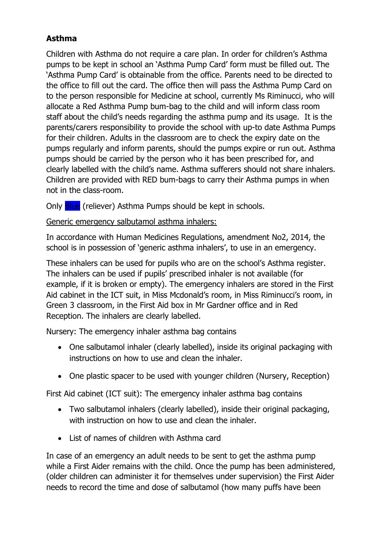## **Asthma**

Children with Asthma do not require a care plan. In order for children's Asthma pumps to be kept in school an 'Asthma Pump Card' form must be filled out. The 'Asthma Pump Card' is obtainable from the office. Parents need to be directed to the office to fill out the card. The office then will pass the Asthma Pump Card on to the person responsible for Medicine at school, currently Ms Riminucci, who will allocate a Red Asthma Pump bum-bag to the child and will inform class room staff about the child's needs regarding the asthma pump and its usage. It is the parents/carers responsibility to provide the school with up-to date Asthma Pumps for their children. Adults in the classroom are to check the expiry date on the pumps regularly and inform parents, should the pumps expire or run out. Asthma pumps should be carried by the person who it has been prescribed for, and clearly labelled with the child's name. Asthma sufferers should not share inhalers. Children are provided with RED bum-bags to carry their Asthma pumps in when not in the class-room.

Only **Blue** (reliever) Asthma Pumps should be kept in schools.

## Generic emergency salbutamol asthma inhalers:

In accordance with Human Medicines Regulations, amendment No2, 2014, the school is in possession of 'generic asthma inhalers', to use in an emergency.

These inhalers can be used for pupils who are on the school's Asthma register. The inhalers can be used if pupils' prescribed inhaler is not available (for example, if it is broken or empty). The emergency inhalers are stored in the First Aid cabinet in the ICT suit, in Miss Mcdonald's room, in Miss Riminucci's room, in Green 3 classroom, in the First Aid box in Mr Gardner office and in Red Reception. The inhalers are clearly labelled.

Nursery: The emergency inhaler asthma bag contains

- One salbutamol inhaler (clearly labelled), inside its original packaging with instructions on how to use and clean the inhaler.
- One plastic spacer to be used with younger children (Nursery, Reception)

First Aid cabinet (ICT suit): The emergency inhaler asthma bag contains

- Two salbutamol inhalers (clearly labelled), inside their original packaging, with instruction on how to use and clean the inhaler.
- List of names of children with Asthma card

In case of an emergency an adult needs to be sent to get the asthma pump while a First Aider remains with the child. Once the pump has been administered, (older children can administer it for themselves under supervision) the First Aider needs to record the time and dose of salbutamol (how many puffs have been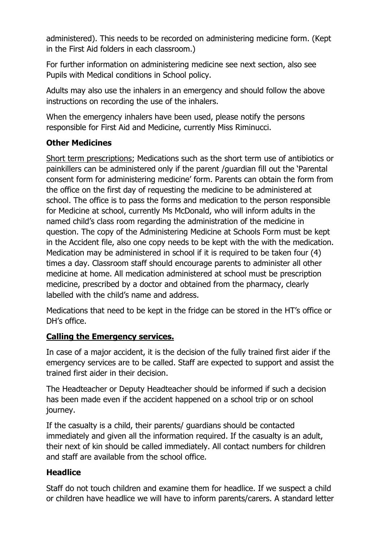administered). This needs to be recorded on administering medicine form. (Kept in the First Aid folders in each classroom.)

For further information on administering medicine see next section, also see Pupils with Medical conditions in School policy.

Adults may also use the inhalers in an emergency and should follow the above instructions on recording the use of the inhalers.

When the emergency inhalers have been used, please notify the persons responsible for First Aid and Medicine, currently Miss Riminucci.

#### **Other Medicines**

Short term prescriptions; Medications such as the short term use of antibiotics or painkillers can be administered only if the parent /guardian fill out the 'Parental consent form for administering medicine' form. Parents can obtain the form from the office on the first day of requesting the medicine to be administered at school. The office is to pass the forms and medication to the person responsible for Medicine at school, currently Ms McDonald, who will inform adults in the named child's class room regarding the administration of the medicine in question. The copy of the Administering Medicine at Schools Form must be kept in the Accident file, also one copy needs to be kept with the with the medication. Medication may be administered in school if it is required to be taken four (4) times a day. Classroom staff should encourage parents to administer all other medicine at home. All medication administered at school must be prescription medicine, prescribed by a doctor and obtained from the pharmacy, clearly labelled with the child's name and address.

Medications that need to be kept in the fridge can be stored in the HT's office or DH's office.

## **Calling the Emergency services.**

In case of a major accident, it is the decision of the fully trained first aider if the emergency services are to be called. Staff are expected to support and assist the trained first aider in their decision.

The Headteacher or Deputy Headteacher should be informed if such a decision has been made even if the accident happened on a school trip or on school journey.

If the casualty is a child, their parents/ guardians should be contacted immediately and given all the information required. If the casualty is an adult, their next of kin should be called immediately. All contact numbers for children and staff are available from the school office.

## **Headlice**

Staff do not touch children and examine them for headlice. If we suspect a child or children have headlice we will have to inform parents/carers. A standard letter